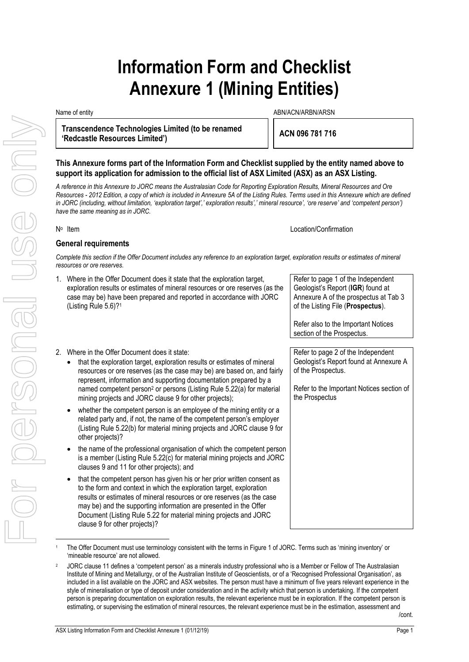# **Information Form and Checklist Annexure 1 (Mining Entities)**

**Transcendence Technologies Limited (to be renamed 'Redcastle Resources Limited') ACN 096 781 716**

Name of entity and the state of entity and the state of entity and the state of entity and the state of entity  $\Delta$ BN/ACN/ARBN/ARSN

### **This Annexure forms part of the Information Form and Checklist supplied by the entity named above to support its application for admission to the official list of ASX Limited (ASX) as an ASX Listing.**

*A reference in this Annexure to JORC means the Australasian Code for Reporting Exploration Results, Mineral Resources and Ore Resources - 2012 Edition, a copy of which is included in Annexure 5A of the Listing Rules. Terms used in this Annexure which are defined*  in JORC (including, without limitation, 'exploration target',' exploration results',' mineral resource', 'ore reserve' and 'competent person') *have the same meaning as in JORC.*

N<sup>o</sup> Item

Location/Confirmation

### **General requirements**

*Complete this section if the Offer Document includes any reference to an exploration target, exploration results or estimates of mineral resources or ore reserves.*

1. Where in the Offer Document does it state that the exploration target, exploration results or estimates of mineral resources or ore reserves (as the case may be) have been prepared and reported in accordance with JORC (Listing Rule 5.6)?<sup>1</sup> Refer to page 1 of the Independent Geologist's Report (**IGR**) found at Annexure A of the prospectus at Tab 3 of the Listing File (**Prospectus**). Refer also to the Important Notices section of the Prospectus. 2. Where in the Offer Document does it state: • that the exploration target, exploration results or estimates of mineral resources or ore reserves (as the case may be) are based on, and fairly represent, information and supporting documentation prepared by a named competent person<sup>2</sup> or persons (Listing Rule 5.22(a) for material mining projects and JORC clause 9 for other projects); whether the competent person is an employee of the mining entity or a related party and, if not, the name of the competent person's employer (Listing Rule 5.22(b) for material mining projects and JORC clause 9 for other projects)? • the name of the professional organisation of which the competent person is a member (Listing Rule 5.22(c) for material mining projects and JORC clauses 9 and 11 for other projects); and • that the competent person has given his or her prior written consent as to the form and context in which the exploration target, exploration results or estimates of mineral resources or ore reserves (as the case may be) and the supporting information are presented in the Offer Document (Listing Rule 5.22 for material mining projects and JORC clause 9 for other projects)? Refer to page 2 of the Independent Geologist's Report found at Annexure A of the Prospectus. Refer to the Important Notices section of the Prospectus

The Offer Document must use terminology consistent with the terms in Figure 1 of JORC. Terms such as 'mining inventory' or 'mineable resource' are not allowed.

<sup>&</sup>lt;sup>2</sup> JORC clause 11 defines a 'competent person' as a minerals industry professional who is a Member or Fellow of The Australasian Institute of Mining and Metallurgy, or of the Australian Institute of Geoscientists, or of a 'Recognised Professional Organisation', as included in a list available on the JORC and ASX websites. The person must have a minimum of five years relevant experience in the style of mineralisation or type of deposit under consideration and in the activity which that person is undertaking. If the competent person is preparing documentation on exploration results, the relevant experience must be in exploration. If the competent person is estimating, or supervising the estimation of mineral resources, the relevant experience must be in the estimation, assessment and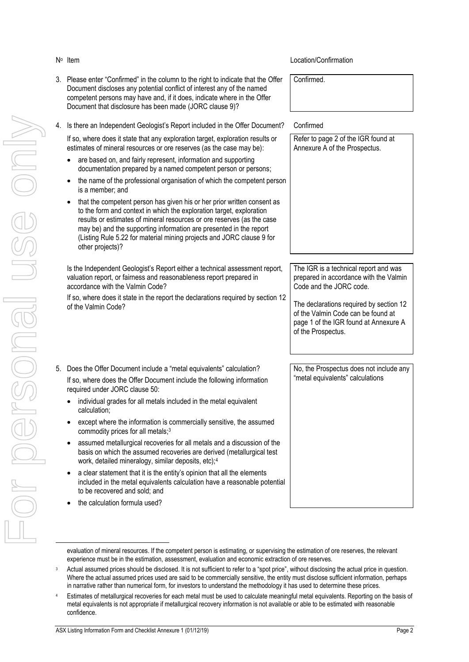### Location/Confirmation

- 3. Please enter "Confirmed" in the column to the right to indicate that the Offer Document discloses any potential conflict of interest any of the named competent persons may have and, if it does, indicate where in the Offer Document that disclosure has been made (JORC clause 9)?
- 4. Is there an Independent Geologist's Report included in the Offer Document? Confirmed

If so, where does it state that any exploration target, exploration results or estimates of mineral resources or ore reserves (as the case may be):

- are based on, and fairly represent, information and supporting documentation prepared by a named competent person or persons;
- the name of the professional organisation of which the competent person is a member; and
- that the competent person has given his or her prior written consent as to the form and context in which the exploration target, exploration results or estimates of mineral resources or ore reserves (as the case may be) and the supporting information are presented in the report (Listing Rule 5.22 for material mining projects and JORC clause 9 for other projects)?

Is the Independent Geologist's Report either a technical assessment report, valuation report, or fairness and reasonableness report prepared in accordance with the Valmin Code?

If so, where does it state in the report the declarations required by section 12 of the Valmin Code?

- 5. Does the Offer Document include a "metal equivalents" calculation? If so, where does the Offer Document include the following information required under JORC clause 50:
	- individual grades for all metals included in the metal equivalent calculation;
	- except where the information is commercially sensitive, the assumed commodity prices for all metals;<sup>3</sup>
	- assumed metallurgical recoveries for all metals and a discussion of the basis on which the assumed recoveries are derived (metallurgical test work, detailed mineralogy, similar deposits, etc);<sup>4</sup>
	- a clear statement that it is the entity's opinion that all the elements included in the metal equivalents calculation have a reasonable potential to be recovered and sold; and
	- the calculation formula used?

Confirmed.



prepared in accordance with the Valmin Code and the JORC code.

The declarations required by section 12 of the Valmin Code can be found at page 1 of the IGR found at Annexure A of the Prospectus.

No, the Prospectus does not include any "metal equivalents" calculations

evaluation of mineral resources. If the competent person is estimating, or supervising the estimation of ore reserves, the relevant experience must be in the estimation, assessment, evaluation and economic extraction of ore reserves.

Actual assumed prices should be disclosed. It is not sufficient to refer to a "spot price", without disclosing the actual price in question. Where the actual assumed prices used are said to be commercially sensitive, the entity must disclose sufficient information, perhaps in narrative rather than numerical form, for investors to understand the methodology it has used to determine these prices.

<sup>4</sup> Estimates of metallurgical recoveries for each metal must be used to calculate meaningful metal equivalents. Reporting on the basis of metal equivalents is not appropriate if metallurgical recovery information is not available or able to be estimated with reasonable confidence.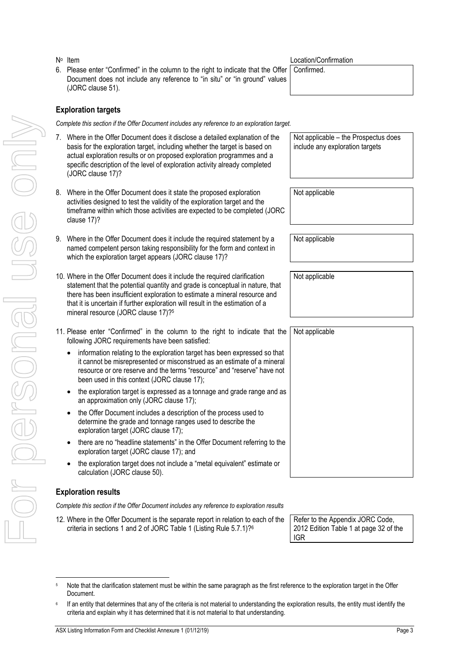6. Please enter "Confirmed" in the column to the right to indicate that the Offer Document does not include any reference to "in situ" or "in ground" values (JORC clause 51).

### **Exploration targets**

*Complete this section if the Offer Document includes any reference to an exploration target.*

- 7. Where in the Offer Document does it disclose a detailed explanation of the basis for the exploration target, including whether the target is based on actual exploration results or on proposed exploration programmes and a specific description of the level of exploration activity already completed (JORC clause 17)?
- 8. Where in the Offer Document does it state the proposed exploration activities designed to test the validity of the exploration target and the timeframe within which those activities are expected to be completed (JORC clause 17)?
- Where in the Offer Document does it include the required statement by a named competent person taking responsibility for the form and context in which the exploration target appears (JORC clause 17)?
- Where in the Offer Document does it include the required clarification statement that the potential quantity and grade is conceptual in nature, that there has been insufficient exploration to estimate a mineral resource and that it is uncertain if further exploration will result in the estimation of a mineral resource (JORC clause 17)?<sup>5</sup>
- Please enter "Confirmed" in the column to the right to indicate that the following JORC requirements have been satisfied: Not applicable
	- information relating to the exploration target has been expressed so that it cannot be misrepresented or misconstrued as an estimate of a mineral resource or ore reserve and the terms "resource" and "reserve" have not been used in this context (JORC clause 17);
	- the exploration target is expressed as a tonnage and grade range and as an approximation only (JORC clause 17);
	- the Offer Document includes a description of the process used to determine the grade and tonnage ranges used to describe the exploration target (JORC clause 17);
	- there are no "headline statements" in the Offer Document referring to the exploration target (JORC clause 17); and
	- the exploration target does not include a "metal equivalent" estimate or calculation (JORC clause 50).

### **Exploration results**

*Complete this section if the Offer Document includes any reference to exploration results*

Where in the Offer Document is the separate report in relation to each of the criteria in sections 1 and 2 of JORC Table 1 (Listing Rule 5.7.1)?<sup>6</sup>

Refer to the Appendix JORC Code, 2012 Edition Table 1 at page 32 of the IGR

ASX Listing Information Form and Checklist Annexure 1 (01/12/19) **Page 3 Page 3** 

Location/Confirmation

Not applicable – the Prospectus does include any exploration targets

Confirmed.

Not applicable

Not applicable

Not applicable

|          | Com                          |
|----------|------------------------------|
| l<br>I   | 7.                           |
|          | )<br>c<br>c<br>8.            |
|          | ۱<br>r<br>v<br>9.            |
|          | v s t t r<br>10.             |
|          | 11.<br> <br>f                |
|          |                              |
| I        |                              |
| <b>S</b> | Exp<br>Com<br>12. $\sqrt{2}$ |

Note that the clarification statement must be within the same paragraph as the first reference to the exploration target in the Offer Document.

<sup>6</sup> If an entity that determines that any of the criteria is not material to understanding the exploration results, the entity must identify the criteria and explain why it has determined that it is not material to that understanding.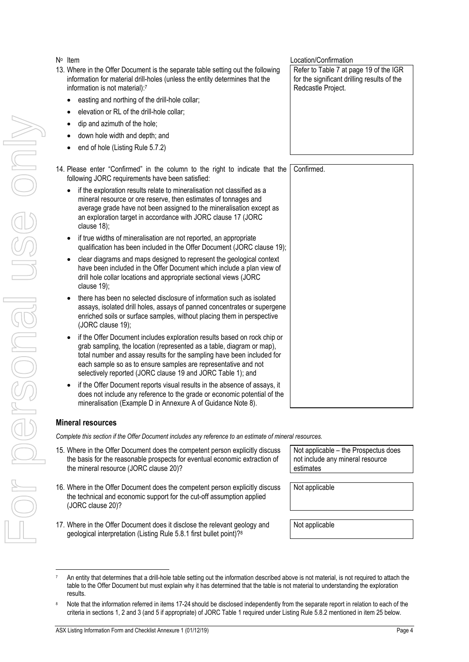### N° Item

- 13. Where in the Offer Document is the separate table setting out the following information for material drill-holes (unless the entity determines that the information is not material):<sup>7</sup>
	- easting and northing of the drill-hole collar;
	- elevation or RL of the drill-hole collar;
	- dip and azimuth of the hole;
	- down hole width and depth; and
	- end of hole (Listing Rule 5.7.2)
- 14. Please enter "Confirmed" in the column to the right to indicate that th following JORC requirements have been satisfied:
	- if the exploration results relate to mineralisation not classified as a mineral resource or ore reserve, then estimates of tonnages and average grade have not been assigned to the mineralisation except as an exploration target in accordance with JORC clause 17 (JORC clause 18);
	- if true widths of mineralisation are not reported, an appropriate qualification has been included in the Offer Document (JORC clause 19);
	- clear diagrams and maps designed to represent the geological context have been included in the Offer Document which include a plan view of drill hole collar locations and appropriate sectional views (JORC clause 19);
	- there has been no selected disclosure of information such as isolated assays, isolated drill holes, assays of panned concentrates or supergen enriched soils or surface samples, without placing them in perspective (JORC clause 19);
	- if the Offer Document includes exploration results based on rock chip or grab sampling, the location (represented as a table, diagram or map), total number and assay results for the sampling have been included for each sample so as to ensure samples are representative and not selectively reported (JORC clause 19 and JORC Table 1); and
	- if the Offer Document reports visual results in the absence of assays, it does not include any reference to the grade or economic potential of the mineralisation (Example D in Annexure A of Guidance Note 8).

### **Mineral resources**

For personal use only

I personal

ISS ON

*Complete this section if the Offer Document includes any reference to an estimate of mineral resources.*

- 15. Where in the Offer Document does the competent person explicitly discuss the basis for the reasonable prospects for eventual economic extraction of the mineral resource (JORC clause 20)?
- 16. Where in the Offer Document does the competent person explicitly discuss the technical and economic support for the cut-off assumption applied (JORC clause 20)?
- <span id="page-3-0"></span>17. Where in the Offer Document does it disclose the relevant geology and geological interpretation (Listing Rule 5.8.1 first bullet point)?<sup>8</sup>

Not applicable – the Prospectus does not include any mineral resource estimates

Not applicable

Not applicable

Location/Confirmation Refer to Table 7 at page 19 of the IGR for the significant drilling results of the Redcastle Project.

|    | e Confirmed. |
|----|--------------|
|    |              |
|    |              |
|    |              |
|    |              |
|    |              |
| ); |              |
|    |              |
|    |              |
|    |              |
|    |              |
| e  |              |
|    |              |
|    |              |
|    |              |
|    |              |
|    |              |
|    |              |
|    |              |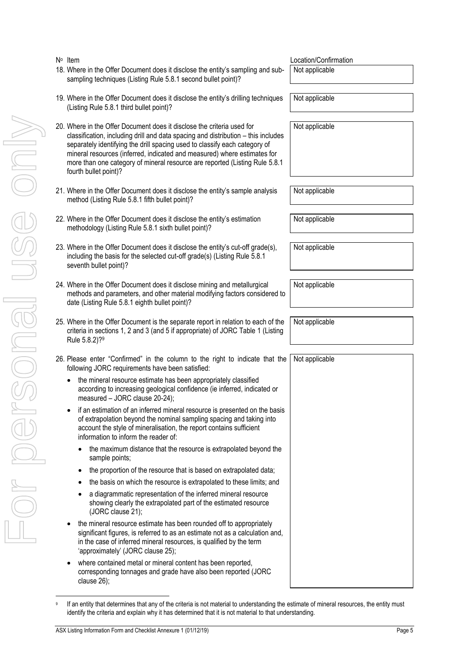9

For personal use only MIUDER HEURSE DRI

N° Item

20. Where in the Offer Document does it disclose the criteria used for classification, including drill and data spacing and distribution – this includes separately identifying the drill spacing used to classify each category of mineral resources (inferred, indicated and measured) where estimates for more than one category of mineral resource are reported (Listing Rule 5.8.1 fourth bullet point)? Not applicable method (Listing Rule 5.8.1 fifth bullet point)? Not applicable methodology (Listing Rule 5.8.1 sixth bullet point)? Not applicable including the basis for the selected cut-off grade(s) (Listing Rule 5.8.1 seventh bullet point)? Not applicable methods and parameters, and other material modifying factors considered to date (Listing Rule 5.8.1 eighth bullet point)? Not applicable criteria in sections 1, 2 and 3 (and 5 if appropriate) of JORC Table 1 (Listing Rule 5.8.2)?<sup>9</sup> Not applicable following JORC requirements have been satisfied: the mineral resource estimate has been appropriately classified according to increasing geological confidence (ie inferred, indicated or measured – JORC clause 20-24); • if an estimation of an inferred mineral resource is presented on the basis of extrapolation beyond the nominal sampling spacing and taking into account the style of mineralisation, the report contains sufficient information to inform the reader of: • the maximum distance that the resource is extrapolated beyond the sample points; the proportion of the resource that is based on extrapolated data; • the basis on which the resource is extrapolated to these limits; and • a diagrammatic representation of the inferred mineral resource showing clearly the extrapolated part of the estimated resource (JORC clause 21); • the mineral resource estimate has been rounded off to appropriately significant figures, is referred to as an estimate not as a calculation and, in the case of inferred mineral resources, is qualified by the term 'approximately' (JORC clause 25); • where contained metal or mineral content has been reported, Not applicable

If an entity that determines that any of the criteria is not material to understanding the estimate of mineral resources, the entity must

sampling techniques (Listing Rule 5.8.1 second bullet point)? 19. Where in the Offer Document does it disclose the entity's drilling techniques

18. Where in the Offer Document does it disclose the entity's sampling and sub-

- (Listing Rule 5.8.1 third bullet point)?
- 
- 21. Where in the Offer Document does it disclose the entity's sample analysis
- 22. Where in the Offer Document does it disclose the entity's estimation
- 23. Where in the Offer Document does it disclose the entity's cut-off grade(s),
- <span id="page-4-0"></span>24. Where in the Offer Document does it disclose mining and metallurgical
- <span id="page-4-1"></span>25. Where in the Offer Document is the separate report in relation to each of the
- 26. Please enter "Confirmed" in the column to the right to indicate that the
	-
	-

corresponding tonnages and grade have also been reported (JORC clause 26);

identify the criteria and explain why it has determined that it is not material to that understanding.

Location/Confirmation Not applicable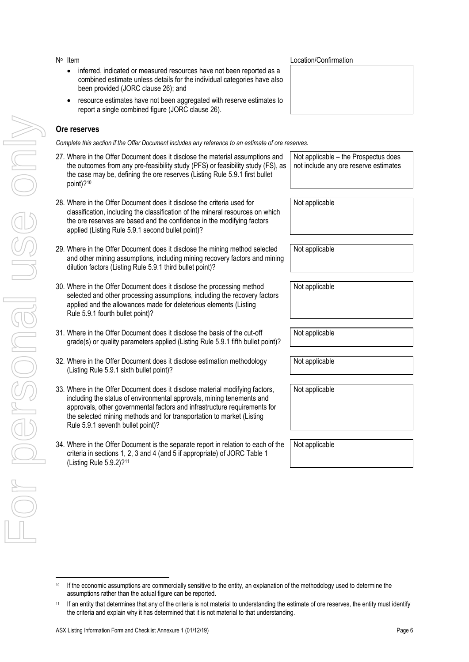- N° Item
	- inferred, indicated or measured resources have not been reported as a combined estimate unless details for the individual categories have also been provided (JORC clause 26); and
	- resource estimates have not been aggregated with reserve estimates to report a single combined figure (JORC clause 26).

### **Ore reserves**

*Complete this section if the Offer Document includes any reference to an estimate of ore reserves.*

- 27. Where in the Offer Document does it disclose the material assumptions and the outcomes from any pre-feasibility study (PFS) or feasibility study (FS), as the case may be, defining the ore reserves (Listing Rule 5.9.1 first bullet point)?<sup>10</sup>
- 28. Where in the Offer Document does it disclose the criteria used for classification, including the classification of the mineral resources on which the ore reserves are based and the confidence in the modifying factors applied (Listing Rule 5.9.1 second bullet point)?
- 29. Where in the Offer Document does it disclose the mining method selected and other mining assumptions, including mining recovery factors and mining dilution factors (Listing Rule 5.9.1 third bullet point)?
- 30. Where in the Offer Document does it disclose the processing method selected and other processing assumptions, including the recovery factors applied and the allowances made for deleterious elements (Listing Rule 5.9.1 fourth bullet point)?
- 31. Where in the Offer Document does it disclose the basis of the cut-off grade(s) or quality parameters applied (Listing Rule 5.9.1 fifth bullet point)?
- 32. Where in the Offer Document does it disclose estimation methodology (Listing Rule 5.9.1 sixth bullet point)?
- 33. Where in the Offer Document does it disclose material modifying factors, including the status of environmental approvals, mining tenements and approvals, other governmental factors and infrastructure requirements for the selected mining methods and for transportation to market (Listing Rule 5.9.1 seventh bullet point)?
- 34. Where in the Offer Document is the separate report in relation to each of the criteria in sections 1, 2, 3 and 4 (and 5 if appropriate) of JORC Table 1 (Listing Rule 5.9.2)?<sup>11</sup>

Location/Confirmation

Not applicable – the Prospectus does not include any ore reserve estimates

Not applicable

Not applicable

Not applicable

Not applicable

Not applicable

Not applicable

<sup>&</sup>lt;sup>10</sup> If the economic assumptions are commercially sensitive to the entity, an explanation of the methodology used to determine the assumptions rather than the actual figure can be reported.

<sup>11</sup> If an entity that determines that any of the criteria is not material to understanding the estimate of ore reserves, the entity must identify the criteria and explain why it has determined that it is not material to that understanding.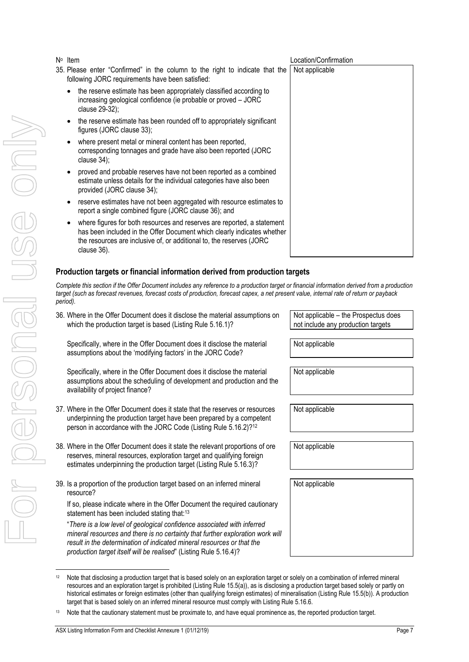- 35. Please enter "Confirmed" in the column to the right to indicate that the following JORC requirements have been satisfied:
	- the reserve estimate has been appropriately classified according to increasing geological confidence (ie probable or proved – JORC clause 29-32);
	- the reserve estimate has been rounded off to appropriately significant figures (JORC clause 33);
	- where present metal or mineral content has been reported, corresponding tonnages and grade have also been reported (JORC clause 34);
	- proved and probable reserves have not been reported as a combined estimate unless details for the individual categories have also been provided (JORC clause 34);
	- reserve estimates have not been aggregated with resource estimates to report a single combined figure (JORC clause 36); and
	- where figures for both resources and reserves are reported, a statement has been included in the Offer Document which clearly indicates whether the resources are inclusive of, or additional to, the reserves (JORC clause 36).

# **Production targets or financial information derived from production targets**

*Complete this section if the Offer Document includes any reference to a production target or financial information derived from a production target (such as forecast revenues, forecast costs of production, forecast capex, a net present value, internal rate of return or payback period).*

36. Where in the Offer Document does it disclose the material assumptions on which the production target is based (Listing Rule 5.16.1)?

Specifically, where in the Offer Document does it disclose the material assumptions about the 'modifying factors' in the JORC Code?

Specifically, where in the Offer Document does it disclose the material assumptions about the scheduling of development and production and the availability of project finance?

- 37. Where in the Offer Document does it state that the reserves or resources underpinning the production target have been prepared by a competent person in accordance with the JORC Code (Listing Rule 5.16.2)?<sup>12</sup>
- 38. Where in the Offer Document does it state the relevant proportions of ore reserves, mineral resources, exploration target and qualifying foreign estimates underpinning the production target (Listing Rule 5.16.3)?
- 39. Is a proportion of the production target based on an inferred mineral resource?

If so, please indicate where in the Offer Document the required cautionary statement has been included stating that:<sup>13</sup>

"*There is a low level of geological confidence associated with inferred mineral resources and there is no certainty that further exploration work will result in the determination of indicated mineral resources or that the production target itself will be realised*" (Listing Rule 5.16.4)?

Not applicable – the Prospectus does not include any production targets

Not applicable

Not applicable

Not applicable

Not applicable

Not applicable

<sup>12</sup> Note that disclosing a production target that is based solely on an exploration target or solely on a combination of inferred mineral resources and an exploration target is prohibited (Listing Rule 15.5(a)), as is disclosing a production target based solely or partly on historical estimates or foreign estimates (other than qualifying foreign estimates) of mineralisation (Listing Rule 15.5(b)). A production

# Location/Confirmation Not applicable 19 Note that the caution of the appropriately springed.<br>
State process conventions that the caution poperation of the caution of the caution of the caution of the caution of the caution of the caution of the caution of th

target that is based solely on an inferred mineral resource must comply with Listing Rule 5.16.6.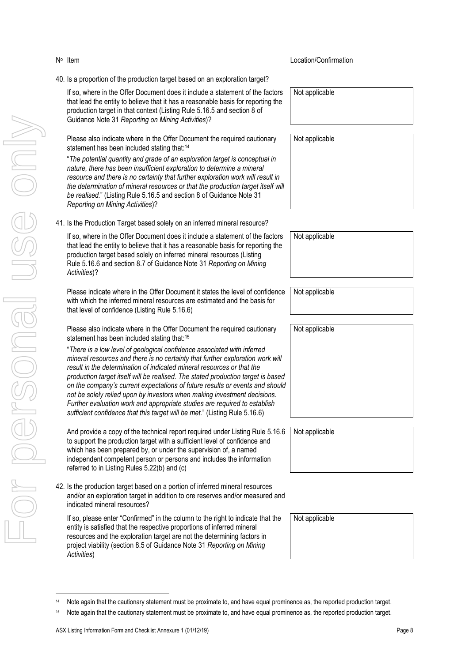- production target in that context (Listing Rule 5.16.5 and section 8 of Guidance Note 31 *Reporting on Mining Activities*)? Please also indicate where in the Offer Document the required cautionary statement has been included stating that:<sup>14</sup> "*The potential quantity and grade of an exploration target is conceptual in nature, there has been insufficient exploration to determine a mineral*
- *resource and there is no certainty that further exploration work will result in the determination of mineral resources or that the production target itself will be realised.*" (Listing Rule 5.16.5 and section 8 of Guidance Note 31 *Reporting on Mining Activities*)?
- 41. Is the Production Target based solely on an inferred mineral resource?

40. Is a proportion of the production target based on an exploration target?

If so, where in the Offer Document does it include a statement of the factors that lead the entity to believe that it has a reasonable basis for reporting the

If so, where in the Offer Document does it include a statement of the factors that lead the entity to believe that it has a reasonable basis for reporting the production target based solely on inferred mineral resources (Listing Rule 5.16.6 and section 8.7 of Guidance Note 31 *Reporting on Mining Activities*)?

Please indicate where in the Offer Document it states the level of confidence with which the inferred mineral resources are estimated and the basis for that level of confidence (Listing Rule 5.16.6)

Please also indicate where in the Offer Document the required cautionary statement has been included stating that:<sup>15</sup>

"*There is a low level of geological confidence associated with inferred mineral resources and there is no certainty that further exploration work will result in the determination of indicated mineral resources or that the production target itself will be realised. The stated production target is based on the company's current expectations of future results or events and should not be solely relied upon by investors when making investment decisions. Further evaluation work and appropriate studies are required to establish sufficient confidence that this target will be met.*" (Listing Rule 5.16.6)

And provide a copy of the technical report required under Listing Rule 5.16.6 to support the production target with a sufficient level of confidence and which has been prepared by, or under the supervision of, a named independent competent person or persons and includes the information referred to in Listing Rules 5.22(b) and (c)

42. Is the production target based on a portion of inferred mineral resources and/or an exploration target in addition to ore reserves and/or measured and indicated mineral resources?

If so, please enter "Confirmed" in the column to the right to indicate that the entity is satisfied that the respective proportions of inferred mineral resources and the exploration target are not the determining factors in project viability (section 8.5 of Guidance Note 31 *Reporting on Mining Activities*)

Not applicable

Not applicable

Not applicable

Not applicable

Not applicable

Not applicable

Not applicable

<sup>14</sup> Note again that the cautionary statement must be proximate to, and have equal prominence as, the reported production target.

N<sup>o</sup> Item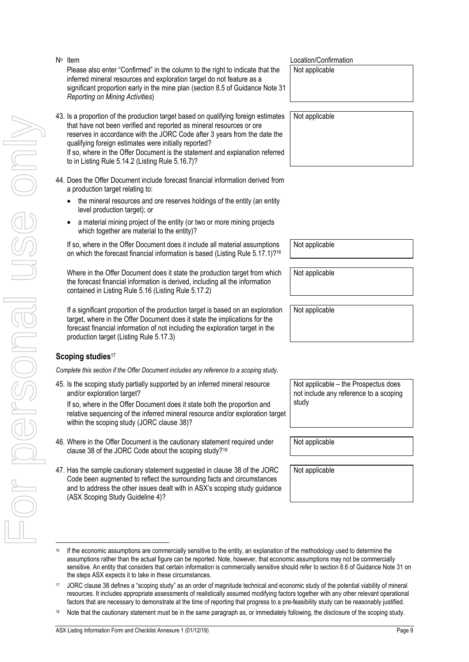- For personal use only VILOPECONSES ON
- N<sup>o</sup> Item Location/Confirmation Please also enter "Confirmed" in the column to the right to indicate that the inferred mineral resources and exploration target do not feature as a significant proportion early in the mine plan (section 8.5 of Guidance Note 31 *Reporting on Mining Activities*) Not applicable 43. Is a proportion of the production target based on qualifying foreign estimates that have not been verified and reported as mineral resources or ore reserves in accordance with the JORC Code after 3 years from the date the qualifying foreign estimates were initially reported? If so, where in the Offer Document is the statement and explanation referred to in Listing Rule 5.14.2 (Listing Rule 5.16.7)? Not applicable 44. Does the Offer Document include forecast financial information derived from a production target relating to: • the mineral resources and ore reserves holdings of the entity (an entity level production target); or • a material mining project of the entity (or two or more mining projects which together are material to the entity)? If so, where in the Offer Document does it include all material assumptions on which the forecast financial information is based (Listing Rule 5.17.1)?<sup>16</sup> Not applicable Where in the Offer Document does it state the production target from which the forecast financial information is derived, including all the information contained in Listing Rule 5.16 (Listing Rule 5.17.2) Not applicable If a significant proportion of the production target is based on an exploration target, where in the Offer Document does it state the implications for the forecast financial information of not including the exploration target in the production target (Listing Rule 5.17.3) Not applicable **Scoping studies**<sup>17</sup> *Complete this section if the Offer Document includes any reference to a scoping study.* 45. Is the scoping study partially supported by an inferred mineral resource and/or exploration target? If so, where in the Offer Document does it state both the proportion and relative sequencing of the inferred mineral resource and/or exploration target within the scoping study (JORC clause 38)? Not applicable – the Prospectus does not include any reference to a scoping study
- 46. Where in the Offer Document is the cautionary statement required under clause 38 of the JORC Code about the scoping study?<sup>18</sup>
- 47. Has the sample cautionary statement suggested in clause 38 of the JORC Code been augmented to reflect the surrounding facts and circumstances and to address the other issues dealt with in ASX's scoping study guidance (ASX Scoping Study Guideline 4)?

Not applicable

<sup>&</sup>lt;sup>16</sup> If the economic assumptions are commercially sensitive to the entity, an explanation of the methodology used to determine the assumptions rather than the actual figure can be reported. Note, however, that economic assumptions may not be commercially sensitive. An entity that considers that certain information is commercially sensitive should refer to section 8.6 of Guidance Note 31 on the steps ASX expects it to take in these circumstances.

<sup>17</sup> JORC clause 38 defines a "scoping study" as an order of magnitude technical and economic study of the potential viability of mineral resources. It includes appropriate assessments of realistically assumed modifying factors together with any other relevant operational factors that are necessary to demonstrate at the time of reporting that progress to a pre-feasibility study can be reasonably justified.

<sup>&</sup>lt;sup>18</sup> Note that the cautionary statement must be in the same paragraph as, or immediately following, the disclosure of the scoping study.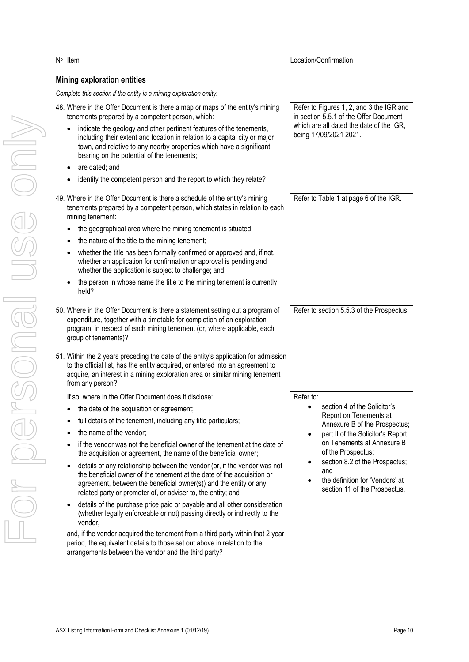### **Mining exploration entities**

*Complete this section if the entity is a mining exploration entity.*

- 48. Where in the Offer Document is there a map or maps of the entity's mining tenements prepared by a competent person, which:
	- indicate the geology and other pertinent features of the tenements, including their extent and location in relation to a capital city or major town, and relative to any nearby properties which have a significant bearing on the potential of the tenements;
	- are dated; and
	- identify the competent person and the report to which they relate?
- 49. Where in the Offer Document is there a schedule of the entity's mining tenements prepared by a competent person, which states in relation to each mining tenement:
	- the geographical area where the mining tenement is situated;
	- the nature of the title to the mining tenement;
	- whether the title has been formally confirmed or approved and, if not, whether an application for confirmation or approval is pending and whether the application is subject to challenge; and
	- the person in whose name the title to the mining tenement is currently held?
- 50. Where in the Offer Document is there a statement setting out a program of expenditure, together with a timetable for completion of an exploration program, in respect of each mining tenement (or, where applicable, each group of tenements)?
- 51. Within the 2 years preceding the date of the entity's application for admission to the official list, has the entity acquired, or entered into an agreement to acquire, an interest in a mining exploration area or similar mining tenement from any person?

If so, where in the Offer Document does it disclose:

- the date of the acquisition or agreement;
- full details of the tenement, including any title particulars;
- the name of the vendor;
- if the vendor was not the beneficial owner of the tenement at the date of the acquisition or agreement, the name of the beneficial owner;
- details of any relationship between the vendor (or, if the vendor was not the beneficial owner of the tenement at the date of the acquisition or agreement, between the beneficial owner(s)) and the entity or any related party or promoter of, or adviser to, the entity; and
- details of the purchase price paid or payable and all other consideration (whether legally enforceable or not) passing directly or indirectly to the vendor,

and, if the vendor acquired the tenement from a third party within that 2 year period, the equivalent details to those set out above in relation to the arrangements between the vendor and the third party?

Refer to Figures 1, 2, and 3 the IGR and in section 5.5.1 of the Offer Document which are all dated the date of the IGR, being 17/09/2021 2021.

Refer to Table 1 at page 6 of the IGR.

Refer to section 5.5.3 of the Prospectus.

Refer to:

- section 4 of the Solicitor's Report on Tenements at Annexure B of the Prospectus;
- part II of the Solicitor's Report on Tenements at Annexure B of the Prospectus;
- section 8.2 of the Prospectus; and
- the definition for 'Vendors' at section 11 of the Prospectus.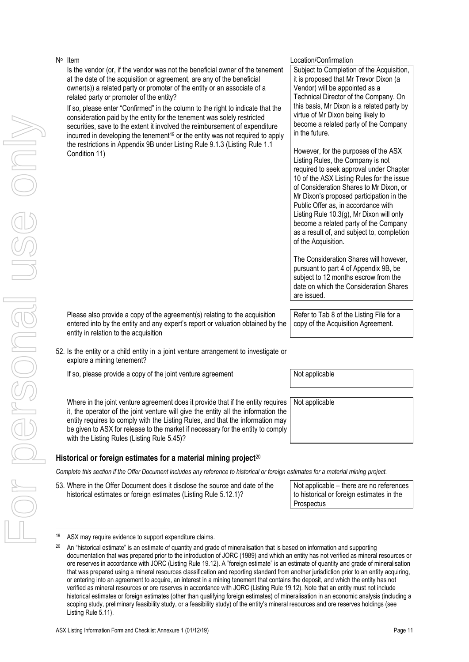Is the vendor (or, if the vendor was not the beneficial owner of the tenement at the date of the acquisition or agreement, are any of the beneficial owner(s)) a related party or promoter of the entity or an associate of a related party or promoter of the entity?

If so, please enter "Confirmed" in the column to the right to indicate that the consideration paid by the entity for the tenement was solely restricted securities, save to the extent it involved the reimbursement of expenditure incurred in developing the tenement<sup>19</sup> or the entity was not required to apply the restrictions in Appendix 9B under Listing Rule 9.1.3 (Listing Rule 1.1 Condition 11)

### Location/Confirmation

Subject to Completion of the Acquisition, it is proposed that Mr Trevor Dixon (a Vendor) will be appointed as a Technical Director of the Company. On this basis, Mr Dixon is a related party by virtue of Mr Dixon being likely to become a related party of the Company in the future.

However, for the purposes of the ASX Listing Rules, the Company is not required to seek approval under Chapter 10 of the ASX Listing Rules for the issue of Consideration Shares to Mr Dixon, or Mr Dixon's proposed participation in the Public Offer as, in accordance with Listing Rule 10.3(g), Mr Dixon will only become a related party of the Company as a result of, and subject to, completion of the Acquisition.

The Consideration Shares will however, pursuant to part 4 of Appendix 9B, be subject to 12 months escrow from the date on which the Consideration Shares are issued.

Please also provide a copy of the agreement(s) relating to the acquisition entered into by the entity and any expert's report or valuation obtained by the entity in relation to the acquisition

52. Is the entity or a child entity in a joint venture arrangement to investigate or explore a mining tenement?

If so, please provide a copy of the joint venture agreement  $\vert$  Not applicable

Where in the joint venture agreement does it provide that if the entity requires it, the operator of the joint venture will give the entity all the information the entity requires to comply with the Listing Rules, and that the information may be given to ASX for release to the market if necessary for the entity to comply with the Listing Rules (Listing Rule 5.45)?

# **Historical or foreign estimates for a material mining project**<sup>20</sup>

*Complete this section if the Offer Document includes any reference to historical or foreign estimates for a material mining project.*

53. Where in the Offer Document does it disclose the source and date of the historical estimates or foreign estimates (Listing Rule 5.12.1)?

Not applicable – there are no references to historical or foreign estimates in the **Prospectus** 

Refer to Tab 8 of the Listing File for a copy of the Acquisition Agreement.

<sup>19</sup> ASX may require evidence to support expenditure claims.

<sup>&</sup>lt;sup>20</sup> An "historical estimate" is an estimate of quantity and grade of mineralisation that is based on information and supporting documentation that was prepared prior to the introduction of JORC (1989) and which an entity has not verified as mineral resources or ore reserves in accordance with JORC (Listing Rule 19.12). A "foreign estimate" is an estimate of quantity and grade of mineralisation that was prepared using a mineral resources classification and reporting standard from another jurisdiction prior to an entity acquiring, or entering into an agreement to acquire, an interest in a mining tenement that contains the deposit, and which the entity has not verified as mineral resources or ore reserves in accordance with JORC (Listing Rule 19.12). Note that an entity must not include historical estimates or foreign estimates (other than qualifying foreign estimates) of mineralisation in an economic analysis (including a scoping study, preliminary feasibility study, or a feasibility study) of the entity's mineral resources and ore reserves holdings (see